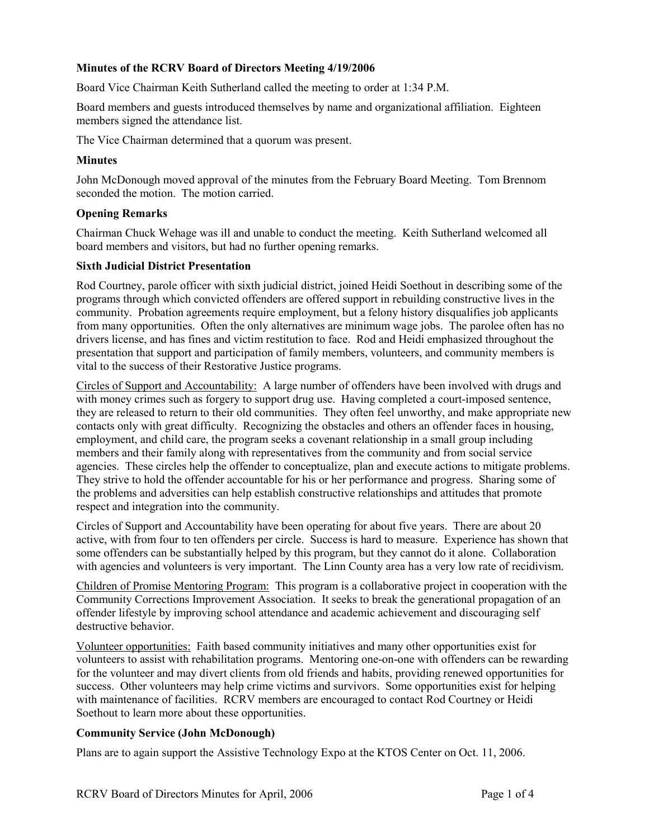## **Minutes of the RCRV Board of Directors Meeting 4/19/2006**

Board Vice Chairman Keith Sutherland called the meeting to order at 1:34 P.M.

Board members and guests introduced themselves by name and organizational affiliation. Eighteen members signed the attendance list.

The Vice Chairman determined that a quorum was present.

## **Minutes**

John McDonough moved approval of the minutes from the February Board Meeting. Tom Brennom seconded the motion. The motion carried.

## **Opening Remarks**

Chairman Chuck Wehage was ill and unable to conduct the meeting. Keith Sutherland welcomed all board members and visitors, but had no further opening remarks.

## **Sixth Judicial District Presentation**

Rod Courtney, parole officer with sixth judicial district, joined Heidi Soethout in describing some of the programs through which convicted offenders are offered support in rebuilding constructive lives in the community. Probation agreements require employment, but a felony history disqualifies job applicants from many opportunities. Often the only alternatives are minimum wage jobs. The parolee often has no drivers license, and has fines and victim restitution to face. Rod and Heidi emphasized throughout the presentation that support and participation of family members, volunteers, and community members is vital to the success of their Restorative Justice programs.

Circles of Support and Accountability: A large number of offenders have been involved with drugs and with money crimes such as forgery to support drug use. Having completed a court-imposed sentence, they are released to return to their old communities. They often feel unworthy, and make appropriate new contacts only with great difficulty. Recognizing the obstacles and others an offender faces in housing, employment, and child care, the program seeks a covenant relationship in a small group including members and their family along with representatives from the community and from social service agencies. These circles help the offender to conceptualize, plan and execute actions to mitigate problems. They strive to hold the offender accountable for his or her performance and progress. Sharing some of the problems and adversities can help establish constructive relationships and attitudes that promote respect and integration into the community.

Circles of Support and Accountability have been operating for about five years. There are about 20 active, with from four to ten offenders per circle. Success is hard to measure. Experience has shown that some offenders can be substantially helped by this program, but they cannot do it alone. Collaboration with agencies and volunteers is very important. The Linn County area has a very low rate of recidivism.

Children of Promise Mentoring Program: This program is a collaborative project in cooperation with the Community Corrections Improvement Association. It seeks to break the generational propagation of an offender lifestyle by improving school attendance and academic achievement and discouraging self destructive behavior.

Volunteer opportunities: Faith based community initiatives and many other opportunities exist for volunteers to assist with rehabilitation programs. Mentoring one-on-one with offenders can be rewarding for the volunteer and may divert clients from old friends and habits, providing renewed opportunities for success. Other volunteers may help crime victims and survivors. Some opportunities exist for helping with maintenance of facilities. RCRV members are encouraged to contact Rod Courtney or Heidi Soethout to learn more about these opportunities.

## **Community Service (John McDonough)**

Plans are to again support the Assistive Technology Expo at the KTOS Center on Oct. 11, 2006.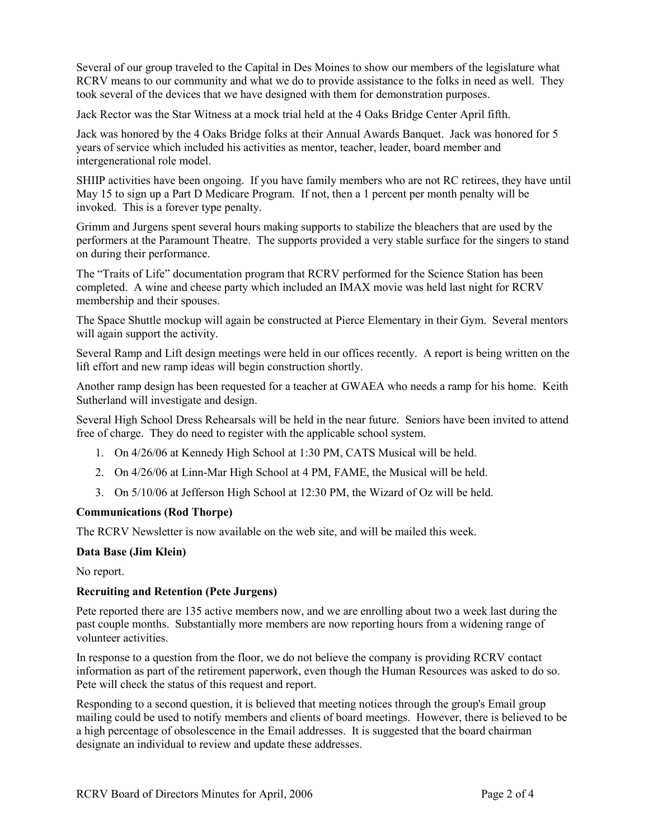Several of our group traveled to the Capital in Des Moines to show our members of the legislature what RCRV means to our community and what we do to provide assistance to the folks in need as well. They took several of the devices that we have designed with them for demonstration purposes.

Jack Rector was the Star Witness at a mock trial held at the 4 Oaks Bridge Center April fifth.

Jack was honored by the 4 Oaks Bridge folks at their Annual Awards Banquet. Jack was honored for 5 years of service which included his activities as mentor, teacher, leader, board member and intergenerational role model.

SHIIP activities have been ongoing. If you have family members who are not RC retirees, they have until May 15 to sign up a Part D Medicare Program. If not, then a 1 percent per month penalty will be invoked. This is a forever type penalty.

Grimm and Jurgens spent several hours making supports to stabilize the bleachers that are used by the performers at the Paramount Theatre. The supports provided a very stable surface for the singers to stand on during their performance.

The "Traits of Life" documentation program that RCRV performed for the Science Station has been completed. A wine and cheese party which included an IMAX movie was held last night for RCRV membership and their spouses.

The Space Shuttle mockup will again be constructed at Pierce Elementary in their Gym. Several mentors will again support the activity.

Several Ramp and Lift design meetings were held in our offices recently. A report is being written on the lift effort and new ramp ideas will begin construction shortly.

Another ramp design has been requested for a teacher at GWAEA who needs a ramp for his home. Keith Sutherland will investigate and design.

Several High School Dress Rehearsals will be held in the near future. Seniors have been invited to attend free of charge. They do need to register with the applicable school system.

- 1. On 4/26/06 at Kennedy High School at 1:30 PM, CATS Musical will be held.
- 2. On 4/26/06 at Linn-Mar High School at 4 PM, FAME, the Musical will be held.
- 3. On 5/10/06 at Jefferson High School at 12:30 PM, the Wizard of Oz will be held.

## **Communications (Rod Thorpe)**

The RCRV Newsletter is now available on the web site, and will be mailed this week.

## **Data Base (Jim Klein)**

No report.

## **Recruiting and Retention (Pete Jurgens)**

Pete reported there are 135 active members now, and we are enrolling about two a week last during the past couple months. Substantially more members are now reporting hours from a widening range of volunteer activities.

In response to a question from the floor, we do not believe the company is providing RCRV contact information as part of the retirement paperwork, even though the Human Resources was asked to do so. Pete will check the status of this request and report.

Responding to a second question, it is believed that meeting notices through the group's Email group mailing could be used to notify members and clients of board meetings. However, there is believed to be a high percentage of obsolescence in the Email addresses. It is suggested that the board chairman designate an individual to review and update these addresses.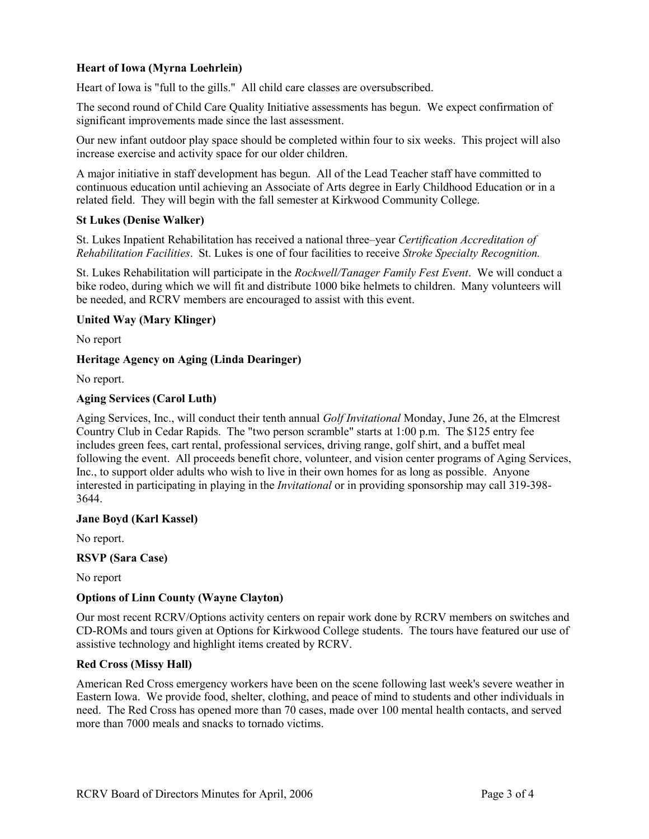# **Heart of Iowa (Myrna Loehrlein)**

Heart of Iowa is "full to the gills." All child care classes are oversubscribed.

The second round of Child Care Quality Initiative assessments has begun. We expect confirmation of significant improvements made since the last assessment.

Our new infant outdoor play space should be completed within four to six weeks. This project will also increase exercise and activity space for our older children.

A major initiative in staff development has begun. All of the Lead Teacher staff have committed to continuous education until achieving an Associate of Arts degree in Early Childhood Education or in a related field. They will begin with the fall semester at Kirkwood Community College.

## **St Lukes (Denise Walker)**

St. Lukes Inpatient Rehabilitation has received a national three–year *Certification Accreditation of Rehabilitation Facilities*. St. Lukes is one of four facilities to receive *Stroke Specialty Recognition.*

St. Lukes Rehabilitation will participate in the *Rockwell/Tanager Family Fest Event*. We will conduct a bike rodeo, during which we will fit and distribute 1000 bike helmets to children. Many volunteers will be needed, and RCRV members are encouraged to assist with this event.

## **United Way (Mary Klinger)**

No report

## **Heritage Agency on Aging (Linda Dearinger)**

No report.

## **Aging Services (Carol Luth)**

Aging Services, Inc., will conduct their tenth annual *Golf Invitational* Monday, June 26, at the Elmcrest Country Club in Cedar Rapids. The "two person scramble" starts at 1:00 p.m. The \$125 entry fee includes green fees, cart rental, professional services, driving range, golf shirt, and a buffet meal following the event. All proceeds benefit chore, volunteer, and vision center programs of Aging Services, Inc., to support older adults who wish to live in their own homes for as long as possible. Anyone interested in participating in playing in the *Invitational* or in providing sponsorship may call 319-398- 3644.

## **Jane Boyd (Karl Kassel)**

No report.

## **RSVP (Sara Case)**

No report

# **Options of Linn County (Wayne Clayton)**

Our most recent RCRV/Options activity centers on repair work done by RCRV members on switches and CD-ROMs and tours given at Options for Kirkwood College students. The tours have featured our use of assistive technology and highlight items created by RCRV.

# **Red Cross (Missy Hall)**

American Red Cross emergency workers have been on the scene following last week's severe weather in Eastern Iowa. We provide food, shelter, clothing, and peace of mind to students and other individuals in need. The Red Cross has opened more than 70 cases, made over 100 mental health contacts, and served more than 7000 meals and snacks to tornado victims.